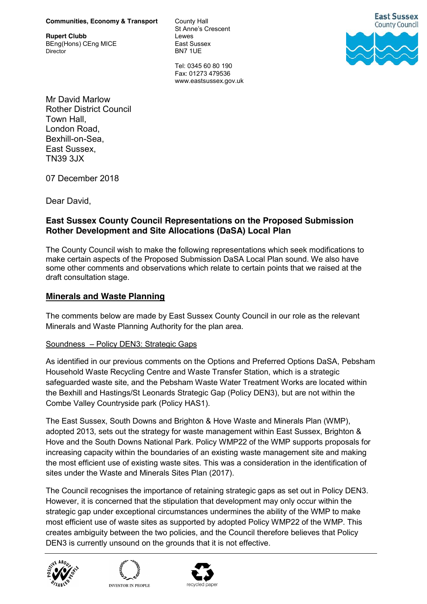#### **Communities, Economy & Transport** County Hall

**Rupert Clubb** Lewes BEng(Hons) CEng MICE East Sussex Director BN7 1UF

St Anne's Crescent

Tel: 0345 60 80 190 Fax: 01273 479536 www.eastsussex.gov.uk



Mr David Marlow Rother District Council Town Hall, London Road, Bexhill-on-Sea, East Sussex, TN39 3JX

07 December 2018

Dear David,

# **East Sussex County Council Representations on the Proposed Submission Rother Development and Site Allocations (DaSA) Local Plan**

The County Council wish to make the following representations which seek modifications to make certain aspects of the Proposed Submission DaSA Local Plan sound. We also have some other comments and observations which relate to certain points that we raised at the draft consultation stage.

## **Minerals and Waste Planning**

The comments below are made by East Sussex County Council in our role as the relevant Minerals and Waste Planning Authority for the plan area.

### Soundness – Policy DEN3: Strategic Gaps

As identified in our previous comments on the Options and Preferred Options DaSA, Pebsham Household Waste Recycling Centre and Waste Transfer Station, which is a strategic safeguarded waste site, and the Pebsham Waste Water Treatment Works are located within the Bexhill and Hastings/St Leonards Strategic Gap (Policy DEN3), but are not within the Combe Valley Countryside park (Policy HAS1).

The East Sussex, South Downs and Brighton & Hove Waste and Minerals Plan (WMP), adopted 2013, sets out the strategy for waste management within East Sussex, Brighton & Hove and the South Downs National Park. Policy WMP22 of the WMP supports proposals for increasing capacity within the boundaries of an existing waste management site and making the most efficient use of existing waste sites. This was a consideration in the identification of sites under the Waste and Minerals Sites Plan (2017).

The Council recognises the importance of retaining strategic gaps as set out in Policy DEN3. However, it is concerned that the stipulation that development may only occur within the strategic gap under exceptional circumstances undermines the ability of the WMP to make most efficient use of waste sites as supported by adopted Policy WMP22 of the WMP. This creates ambiguity between the two policies, and the Council therefore believes that Policy DEN3 is currently unsound on the grounds that it is not effective.





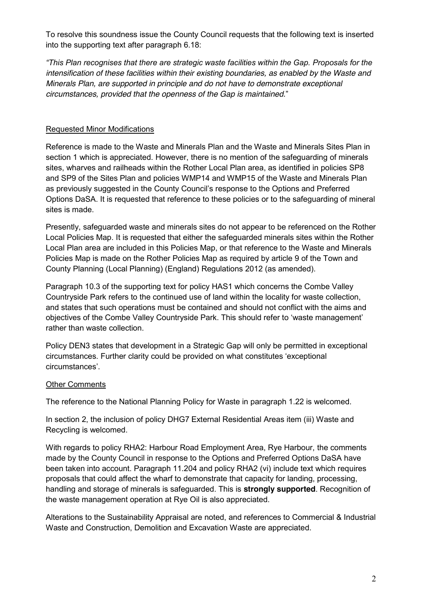To resolve this soundness issue the County Council requests that the following text is inserted into the supporting text after paragraph 6.18:

*"This Plan recognises that there are strategic waste facilities within the Gap. Proposals for the intensification of these facilities within their existing boundaries, as enabled by the Waste and Minerals Plan, are supported in principle and do not have to demonstrate exceptional circumstances, provided that the openness of the Gap is maintained.*"

## Requested Minor Modifications

Reference is made to the Waste and Minerals Plan and the Waste and Minerals Sites Plan in section 1 which is appreciated. However, there is no mention of the safeguarding of minerals sites, wharves and railheads within the Rother Local Plan area, as identified in policies SP8 and SP9 of the Sites Plan and policies WMP14 and WMP15 of the Waste and Minerals Plan as previously suggested in the County Council's response to the Options and Preferred Options DaSA. It is requested that reference to these policies or to the safeguarding of mineral sites is made.

Presently, safeguarded waste and minerals sites do not appear to be referenced on the Rother Local Policies Map. It is requested that either the safeguarded minerals sites within the Rother Local Plan area are included in this Policies Map, or that reference to the Waste and Minerals Policies Map is made on the Rother Policies Map as required by article 9 of the Town and County Planning (Local Planning) (England) Regulations 2012 (as amended).

Paragraph 10.3 of the supporting text for policy HAS1 which concerns the Combe Valley Countryside Park refers to the continued use of land within the locality for waste collection, and states that such operations must be contained and should not conflict with the aims and objectives of the Combe Valley Countryside Park. This should refer to 'waste management' rather than waste collection.

Policy DEN3 states that development in a Strategic Gap will only be permitted in exceptional circumstances. Further clarity could be provided on what constitutes 'exceptional circumstances'.

### **Other Comments**

The reference to the National Planning Policy for Waste in paragraph 1.22 is welcomed.

In section 2, the inclusion of policy DHG7 External Residential Areas item (iii) Waste and Recycling is welcomed.

With regards to policy RHA2: Harbour Road Employment Area, Rye Harbour, the comments made by the County Council in response to the Options and Preferred Options DaSA have been taken into account. Paragraph 11.204 and policy RHA2 (vi) include text which requires proposals that could affect the wharf to demonstrate that capacity for landing, processing, handling and storage of minerals is safeguarded. This is **strongly supported**. Recognition of the waste management operation at Rye Oil is also appreciated.

Alterations to the Sustainability Appraisal are noted, and references to Commercial & Industrial Waste and Construction, Demolition and Excavation Waste are appreciated.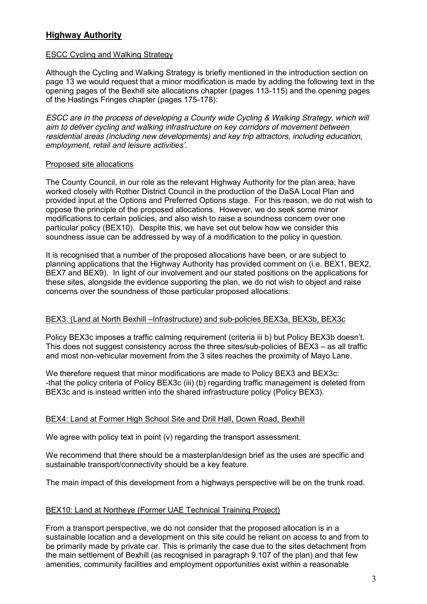# **Highway Authority**

### ESCC Cycling and Walking Strategy

Although the Cycling and Walking Strategy is briefly mentioned in the introduction section on page 13 we would request that a minor modification is made by adding the following text in the opening pages of the Bexhill site allocations chapter (pages 113-115) and the opening pages of the Hastings Fringes chapter (pages 175-178):

*ESCC are in the process of developing a County wide Cycling & Walking Strategy, which will aim to deliver cycling and walking infrastructure on key corridors of movement between residential areas (including new developments) and key trip attractors, including education, employment, retail and leisure activities'.*

### Proposed site allocations

The County Council, in our role as the relevant Highway Authority for the plan area, have worked closely with Rother District Council in the production of the DaSA Local Plan and provided input at the Options and Preferred Options stage. For this reason, we do not wish to oppose the principle of the proposed allocations. However, we do seek some minor modifications to certain policies, and also wish to raise a soundness concern over one particular policy (BEX10). Despite this, we have set out below how we consider this soundness issue can be addressed by way of a modification to the policy in question.

It is recognised that a number of the proposed allocations have been, or are subject to planning applications that the Highway Authority has provided comment on (i.e. BEX1, BEX2, BEX7 and BEX9). In light of our involvement and our stated positions on the applications for these sites, alongside the evidence supporting the plan, we do not wish to object and raise concerns over the soundness of those particular proposed allocations.

### BEX3: (Land at North Bexhill –Infrastructure) and sub-policies BEX3a, BEX3b, BEX3c

Policy BEX3c imposes a traffic calming requirement (criteria iii b) but Policy BEX3b doesn't. This does not suggest consistency across the three sites/sub-policies of BEX3 – as all traffic and most non-vehicular movement from the 3 sites reaches the proximity of Mayo Lane.

We therefore request that minor modifications are made to Policy BEX3 and BEX3c: -that the policy criteria of Policy BEX3c (iii) (b) regarding traffic management is deleted from BEX3c and is instead written into the shared infrastructure policy (Policy BEX3).

### BEX4: Land at Former High School Site and Drill Hall, Down Road, Bexhill

We agree with policy text in point (v) regarding the transport assessment.

We recommend that there should be a masterplan/design brief as the uses are specific and sustainable transport/connectivity should be a key feature.

The main impact of this development from a highways perspective will be on the trunk road.

### BEX10: Land at Northeye (Former UAE Technical Training Project)

From a transport perspective, we do not consider that the proposed allocation is in a sustainable location and a development on this site could be reliant on access to and from to be primarily made by private car. This is primarily the case due to the sites detachment from the main settlement of Bexhill (as recognised in paragraph 9.107 of the plan) and that few amenities, community facilities and employment opportunities exist within a reasonable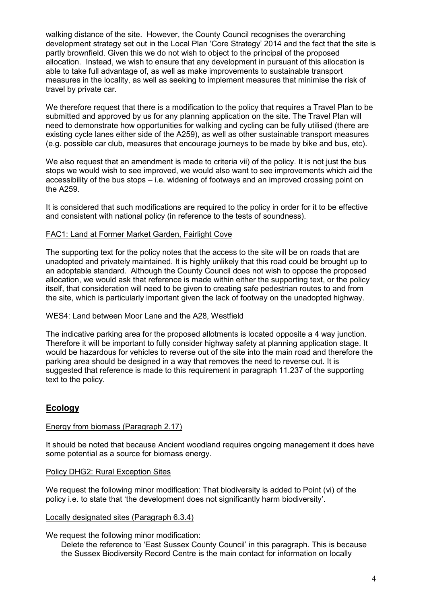walking distance of the site. However, the County Council recognises the overarching development strategy set out in the Local Plan 'Core Strategy' 2014 and the fact that the site is partly brownfield. Given this we do not wish to object to the principal of the proposed allocation. Instead, we wish to ensure that any development in pursuant of this allocation is able to take full advantage of, as well as make improvements to sustainable transport measures in the locality, as well as seeking to implement measures that minimise the risk of travel by private car.

We therefore request that there is a modification to the policy that requires a Travel Plan to be submitted and approved by us for any planning application on the site. The Travel Plan will need to demonstrate how opportunities for walking and cycling can be fully utilised (there are existing cycle lanes either side of the A259), as well as other sustainable transport measures (e.g. possible car club, measures that encourage journeys to be made by bike and bus, etc).

We also request that an amendment is made to criteria vii) of the policy. It is not just the bus stops we would wish to see improved, we would also want to see improvements which aid the accessibility of the bus stops – i.e. widening of footways and an improved crossing point on the A259.

It is considered that such modifications are required to the policy in order for it to be effective and consistent with national policy (in reference to the tests of soundness).

### FAC1: Land at Former Market Garden, Fairlight Cove

The supporting text for the policy notes that the access to the site will be on roads that are unadopted and privately maintained. It is highly unlikely that this road could be brought up to an adoptable standard. Although the County Council does not wish to oppose the proposed allocation, we would ask that reference is made within either the supporting text, or the policy itself, that consideration will need to be given to creating safe pedestrian routes to and from the site, which is particularly important given the lack of footway on the unadopted highway.

### WES4: Land between Moor Lane and the A28, Westfield

The indicative parking area for the proposed allotments is located opposite a 4 way junction. Therefore it will be important to fully consider highway safety at planning application stage. It would be hazardous for vehicles to reverse out of the site into the main road and therefore the parking area should be designed in a way that removes the need to reverse out. It is suggested that reference is made to this requirement in paragraph 11.237 of the supporting text to the policy.

## **Ecology**

### Energy from biomass (Paragraph 2.17)

It should be noted that because Ancient woodland requires ongoing management it does have some potential as a source for biomass energy.

### Policy DHG2: Rural Exception Sites

We request the following minor modification: That biodiversity is added to Point (vi) of the policy i.e. to state that 'the development does not significantly harm biodiversity'.

### Locally designated sites (Paragraph 6.3.4)

### We request the following minor modification:

Delete the reference to 'East Sussex County Council' in this paragraph. This is because the Sussex Biodiversity Record Centre is the main contact for information on locally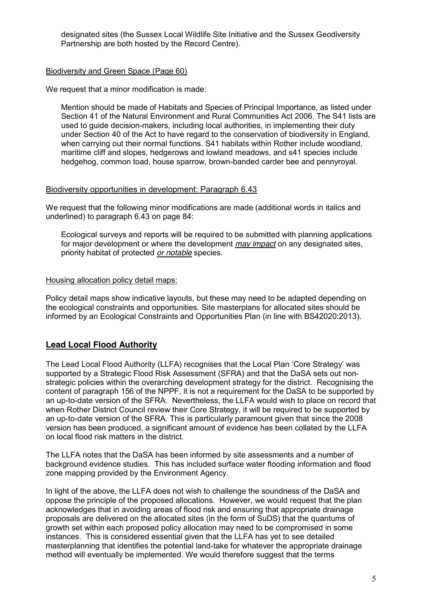designated sites (the Sussex Local Wildlife Site Initiative and the Sussex Geodiversity Partnership are both hosted by the Record Centre).

### Biodiversity and Green Space (Page 60)

We request that a minor modification is made:

Mention should be made of Habitats and Species of Principal Importance, as listed under Section 41 of the Natural Environment and Rural Communities Act 2006. The S41 lists are used to guide decision-makers, including local authorities, in implementing their duty under Section 40 of the Act to have regard to the conservation of biodiversity in England, when carrying out their normal functions. S41 habitats within Rother include woodland, maritime cliff and slopes, hedgerows and lowland meadows, and s41 species include hedgehog, common toad, house sparrow, brown-banded carder bee and pennyroyal.

#### Biodiversity opportunities in development: Paragraph 6.43

We request that the following minor modifications are made (additional words in italics and underlined) to paragraph 6.43 on page 84:

Ecological surveys and reports will be required to be submitted with planning applications for major development or where the development *may impact* on any designated sites, priority habitat of protected *or notable* species.

#### Housing allocation policy detail maps:

Policy detail maps show indicative layouts, but these may need to be adapted depending on the ecological constraints and opportunities. Site masterplans for allocated sites should be informed by an Ecological Constraints and Opportunities Plan (in line with BS42020:2013).

## **Lead Local Flood Authority**

The Lead Local Flood Authority (LLFA) recognises that the Local Plan 'Core Strategy' was supported by a Strategic Flood Risk Assessment (SFRA) and that the DaSA sets out nonstrategic policies within the overarching development strategy for the district. Recognising the content of paragraph 156 of the NPPF, it is not a requirement for the DaSA to be supported by an up-to-date version of the SFRA. Nevertheless, the LLFA would wish to place on record that when Rother District Council review their Core Strategy, it will be required to be supported by an up-to-date version of the SFRA. This is particularly paramount given that since the 2008 version has been produced, a significant amount of evidence has been collated by the LLFA on local flood risk matters in the district.

The LLFA notes that the DaSA has been informed by site assessments and a number of background evidence studies. This has included surface water flooding information and flood zone mapping provided by the Environment Agency.

In light of the above, the LLFA does not wish to challenge the soundness of the DaSA and oppose the principle of the proposed allocations. However, we would request that the plan acknowledges that in avoiding areas of flood risk and ensuring that appropriate drainage proposals are delivered on the allocated sites (in the form of SuDS) that the quantums of growth set within each proposed policy allocation may need to be compromised in some instances. This is considered essential given that the LLFA has yet to see detailed masterplanning that identifies the potential land-take for whatever the appropriate drainage method will eventually be implemented. We would therefore suggest that the terms